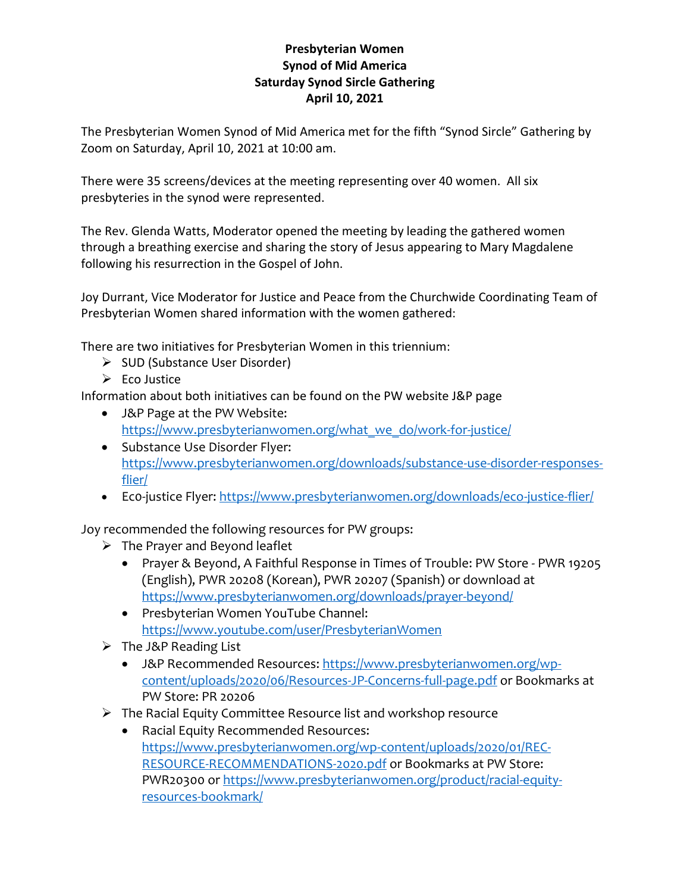## **Presbyterian Women Synod of Mid America Saturday Synod Sircle Gathering April 10, 2021**

The Presbyterian Women Synod of Mid America met for the fifth "Synod Sircle" Gathering by Zoom on Saturday, April 10, 2021 at 10:00 am.

There were 35 screens/devices at the meeting representing over 40 women. All six presbyteries in the synod were represented.

The Rev. Glenda Watts, Moderator opened the meeting by leading the gathered women through a breathing exercise and sharing the story of Jesus appearing to Mary Magdalene following his resurrection in the Gospel of John.

Joy Durrant, Vice Moderator for Justice and Peace from the Churchwide Coordinating Team of Presbyterian Women shared information with the women gathered:

There are two initiatives for Presbyterian Women in this triennium:

- ➢ SUD (Substance User Disorder)
- $\triangleright$  Eco Justice

Information about both initiatives can be found on the PW website J&P page

- J&P Page at the PW Website: [https://www.presbyterianwomen.org/what\\_we\\_do/work-for-justice/](https://www.presbyterianwomen.org/what_we_do/work-for-justice/)
- Substance Use Disorder Flyer: [https://www.presbyterianwomen.org/downloads/substance-use-disorder-responses](https://www.presbyterianwomen.org/downloads/substance-use-disorder-responses-flier/)[flier/](https://www.presbyterianwomen.org/downloads/substance-use-disorder-responses-flier/)
- Eco-justice Flyer[: https://www.presbyterianwomen.org/downloads/eco-justice-flier/](https://www.presbyterianwomen.org/downloads/eco-justice-flier/)

Joy recommended the following resources for PW groups:

- $\triangleright$  The Prayer and Beyond leaflet
	- Prayer & Beyond, A Faithful Response in Times of Trouble: PW Store PWR 19205 (English), PWR 20208 (Korean), PWR 20207 (Spanish) or download at <https://www.presbyterianwomen.org/downloads/prayer-beyond/>
	- Presbyterian Women YouTube Channel: <https://www.youtube.com/user/PresbyterianWomen>
- ➢ The J&P Reading List
	- J&P Recommended Resources: [https://www.presbyterianwomen.org/wp](https://www.presbyterianwomen.org/wp-content/uploads/2020/06/Resources-JP-Concerns-full-page.pdf)[content/uploads/2020/06/Resources-JP-Concerns-full-page.pdf](https://www.presbyterianwomen.org/wp-content/uploads/2020/06/Resources-JP-Concerns-full-page.pdf) or Bookmarks at PW Store: PR 20206
- ➢ The Racial Equity Committee Resource list and workshop resource
	- Racial Equity Recommended Resources: [https://www.presbyterianwomen.org/wp-content/uploads/2020/01/REC-](https://www.presbyterianwomen.org/wp-content/uploads/2020/01/REC-RESOURCE-RECOMMENDATIONS-2020.pdf)[RESOURCE-RECOMMENDATIONS-2020.pdf](https://www.presbyterianwomen.org/wp-content/uploads/2020/01/REC-RESOURCE-RECOMMENDATIONS-2020.pdf) or Bookmarks at PW Store: PWR20300 or [https://www.presbyterianwomen.org/product/racial-equity](https://www.presbyterianwomen.org/product/racial-equity-resources-bookmark/)[resources-bookmark/](https://www.presbyterianwomen.org/product/racial-equity-resources-bookmark/)